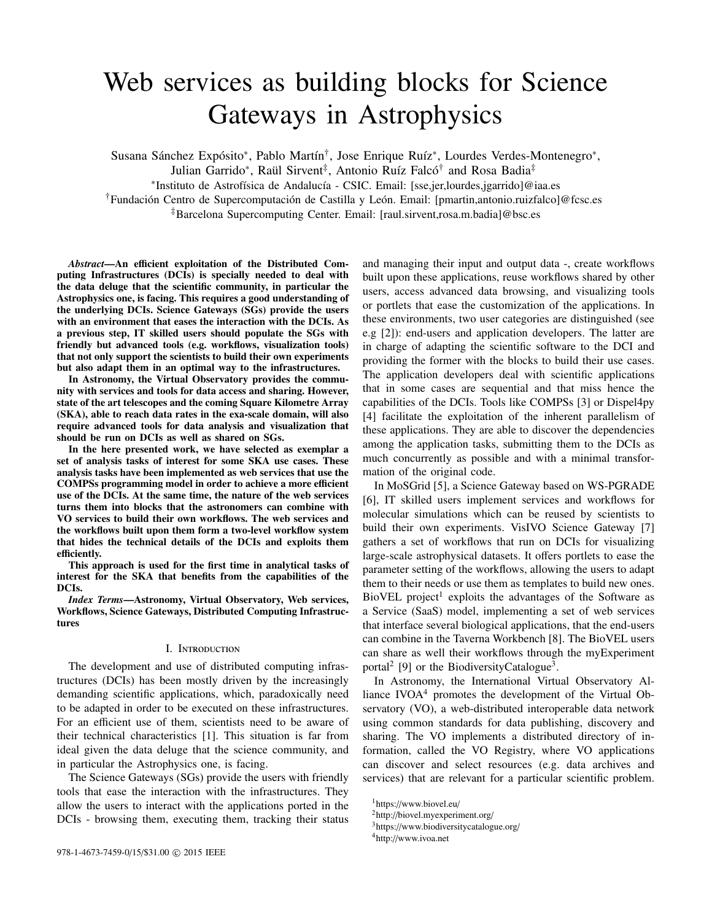# Web services as building blocks for Science Gateways in Astrophysics

Susana Sánchez Expósito\*, Pablo Martín<sup>†</sup>, Jose Enrique Ruíz\*, Lourdes Verdes-Montenegro\*,

Julian Garrido\*, Raül Sirvent<sup>‡</sup>, Antonio Ruíz Falcó<sup>†</sup> and Rosa Badia<sup>‡</sup>

\*Instituto de Astrofísica de Andalucía - CSIC. Email: [sse,jer,lourdes,jgarrido]@iaa.es

<sup>†</sup>Fundación Centro de Supercomputación de Castilla y León. Email: [pmartin,antonio.ruizfalco]@fcsc.es

‡Barcelona Supercomputing Center. Email: [raul.sirvent,rosa.m.badia]@bsc.es

*Abstract*—An efficient exploitation of the Distributed Computing Infrastructures (DCIs) is specially needed to deal with the data deluge that the scientific community, in particular the Astrophysics one, is facing. This requires a good understanding of the underlying DCIs. Science Gateways (SGs) provide the users with an environment that eases the interaction with the DCIs. As a previous step, IT skilled users should populate the SGs with friendly but advanced tools (e.g. workflows, visualization tools) that not only support the scientists to build their own experiments but also adapt them in an optimal way to the infrastructures.

In Astronomy, the Virtual Observatory provides the community with services and tools for data access and sharing. However, state of the art telescopes and the coming Square Kilometre Array (SKA), able to reach data rates in the exa-scale domain, will also require advanced tools for data analysis and visualization that should be run on DCIs as well as shared on SGs.

In the here presented work, we have selected as exemplar a set of analysis tasks of interest for some SKA use cases. These analysis tasks have been implemented as web services that use the COMPSs programming model in order to achieve a more efficient use of the DCIs. At the same time, the nature of the web services turns them into blocks that the astronomers can combine with VO services to build their own workflows. The web services and the workflows built upon them form a two-level workflow system that hides the technical details of the DCIs and exploits them efficiently.

This approach is used for the first time in analytical tasks of interest for the SKA that benefits from the capabilities of the DCIs.

*Index Terms*—Astronomy, Virtual Observatory, Web services, Workflows, Science Gateways, Distributed Computing Infrastructures

### I. Introduction

The development and use of distributed computing infrastructures (DCIs) has been mostly driven by the increasingly demanding scientific applications, which, paradoxically need to be adapted in order to be executed on these infrastructures. For an efficient use of them, scientists need to be aware of their technical characteristics [1]. This situation is far from ideal given the data deluge that the science community, and in particular the Astrophysics one, is facing.

The Science Gateways (SGs) provide the users with friendly tools that ease the interaction with the infrastructures. They allow the users to interact with the applications ported in the DCIs - browsing them, executing them, tracking their status and managing their input and output data -, create workflows built upon these applications, reuse workflows shared by other users, access advanced data browsing, and visualizing tools or portlets that ease the customization of the applications. In these environments, two user categories are distinguished (see e.g [2]): end-users and application developers. The latter are in charge of adapting the scientific software to the DCI and providing the former with the blocks to build their use cases. The application developers deal with scientific applications that in some cases are sequential and that miss hence the capabilities of the DCIs. Tools like COMPSs [3] or Dispel4py [4] facilitate the exploitation of the inherent parallelism of these applications. They are able to discover the dependencies among the application tasks, submitting them to the DCIs as much concurrently as possible and with a minimal transformation of the original code.

In MoSGrid [5], a Science Gateway based on WS-PGRADE [6], IT skilled users implement services and workflows for molecular simulations which can be reused by scientists to build their own experiments. VisIVO Science Gateway [7] gathers a set of workflows that run on DCIs for visualizing large-scale astrophysical datasets. It offers portlets to ease the parameter setting of the workflows, allowing the users to adapt them to their needs or use them as templates to build new ones. BioVEL project<sup>1</sup> exploits the advantages of the Software as a Service (SaaS) model, implementing a set of web services that interface several biological applications, that the end-users can combine in the Taverna Workbench [8]. The BioVEL users can share as well their workflows through the myExperiment portal<sup>2</sup> [9] or the BiodiversityCatalogue<sup>3</sup>.

In Astronomy, the International Virtual Observatory Alliance IVOA<sup>4</sup> promotes the development of the Virtual Observatory (VO), a web-distributed interoperable data network using common standards for data publishing, discovery and sharing. The VO implements a distributed directory of information, called the VO Registry, where VO applications can discover and select resources (e.g. data archives and services) that are relevant for a particular scientific problem.

<sup>1</sup>https://www.biovel.eu/

<sup>2</sup>http://biovel.myexperiment.org/

<sup>3</sup>https://www.biodiversitycatalogue.org/

<sup>4</sup>http://www.ivoa.net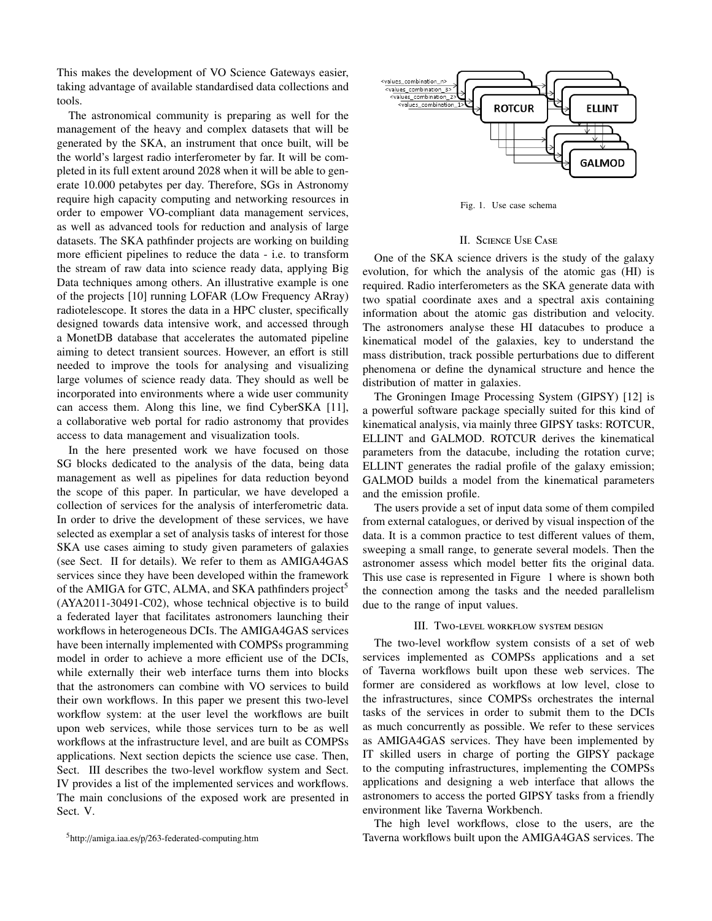This makes the development of VO Science Gateways easier, taking advantage of available standardised data collections and tools.

The astronomical community is preparing as well for the management of the heavy and complex datasets that will be generated by the SKA, an instrument that once built, will be the world's largest radio interferometer by far. It will be completed in its full extent around 2028 when it will be able to generate 10.000 petabytes per day. Therefore, SGs in Astronomy require high capacity computing and networking resources in order to empower VO-compliant data management services, as well as advanced tools for reduction and analysis of large datasets. The SKA pathfinder projects are working on building more efficient pipelines to reduce the data - i.e. to transform the stream of raw data into science ready data, applying Big Data techniques among others. An illustrative example is one of the projects [10] running LOFAR (LOw Frequency ARray) radiotelescope. It stores the data in a HPC cluster, specifically designed towards data intensive work, and accessed through a MonetDB database that accelerates the automated pipeline aiming to detect transient sources. However, an effort is still needed to improve the tools for analysing and visualizing large volumes of science ready data. They should as well be incorporated into environments where a wide user community can access them. Along this line, we find CyberSKA [11], a collaborative web portal for radio astronomy that provides access to data management and visualization tools.

In the here presented work we have focused on those SG blocks dedicated to the analysis of the data, being data management as well as pipelines for data reduction beyond the scope of this paper. In particular, we have developed a collection of services for the analysis of interferometric data. In order to drive the development of these services, we have selected as exemplar a set of analysis tasks of interest for those SKA use cases aiming to study given parameters of galaxies (see Sect. II for details). We refer to them as AMIGA4GAS services since they have been developed within the framework of the AMIGA for GTC, ALMA, and SKA pathfinders project<sup>5</sup> (AYA2011-30491-C02), whose technical objective is to build a federated layer that facilitates astronomers launching their workflows in heterogeneous DCIs. The AMIGA4GAS services have been internally implemented with COMPSs programming model in order to achieve a more efficient use of the DCIs, while externally their web interface turns them into blocks that the astronomers can combine with VO services to build their own workflows. In this paper we present this two-level workflow system: at the user level the workflows are built upon web services, while those services turn to be as well workflows at the infrastructure level, and are built as COMPSs applications. Next section depicts the science use case. Then, Sect. III describes the two-level workflow system and Sect. IV provides a list of the implemented services and workflows. The main conclusions of the exposed work are presented in Sect. V.



Fig. 1. Use case schema

## II. Science Use Case

One of the SKA science drivers is the study of the galaxy evolution, for which the analysis of the atomic gas (HI) is required. Radio interferometers as the SKA generate data with two spatial coordinate axes and a spectral axis containing information about the atomic gas distribution and velocity. The astronomers analyse these HI datacubes to produce a kinematical model of the galaxies, key to understand the mass distribution, track possible perturbations due to different phenomena or define the dynamical structure and hence the distribution of matter in galaxies.

The Groningen Image Processing System (GIPSY) [12] is a powerful software package specially suited for this kind of kinematical analysis, via mainly three GIPSY tasks: ROTCUR, ELLINT and GALMOD. ROTCUR derives the kinematical parameters from the datacube, including the rotation curve; ELLINT generates the radial profile of the galaxy emission; GALMOD builds a model from the kinematical parameters and the emission profile.

The users provide a set of input data some of them compiled from external catalogues, or derived by visual inspection of the data. It is a common practice to test different values of them, sweeping a small range, to generate several models. Then the astronomer assess which model better fits the original data. This use case is represented in Figure 1 where is shown both the connection among the tasks and the needed parallelism due to the range of input values.

## III. Two-level workflow system design

The two-level workflow system consists of a set of web services implemented as COMPSs applications and a set of Taverna workflows built upon these web services. The former are considered as workflows at low level, close to the infrastructures, since COMPSs orchestrates the internal tasks of the services in order to submit them to the DCIs as much concurrently as possible. We refer to these services as AMIGA4GAS services. They have been implemented by IT skilled users in charge of porting the GIPSY package to the computing infrastructures, implementing the COMPSs applications and designing a web interface that allows the astronomers to access the ported GIPSY tasks from a friendly environment like Taverna Workbench.

The high level workflows, close to the users, are the Taverna workflows built upon the AMIGA4GAS services. The

<sup>5</sup>http://amiga.iaa.es/p/263-federated-computing.htm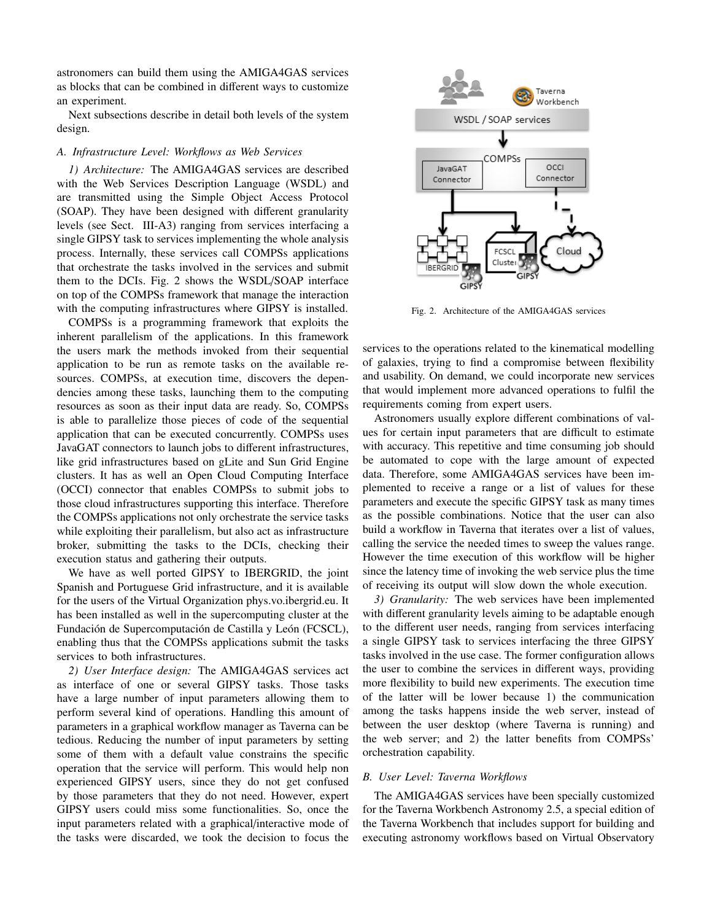astronomers can build them using the AMIGA4GAS services as blocks that can be combined in different ways to customize an experiment.

Next subsections describe in detail both levels of the system design.

## *A. Infrastructure Level: Workflows as Web Services*

*1) Architecture:* The AMIGA4GAS services are described with the Web Services Description Language (WSDL) and are transmitted using the Simple Object Access Protocol (SOAP). They have been designed with different granularity levels (see Sect. III-A3) ranging from services interfacing a single GIPSY task to services implementing the whole analysis process. Internally, these services call COMPSs applications that orchestrate the tasks involved in the services and submit them to the DCIs. Fig. 2 shows the WSDL/SOAP interface on top of the COMPSs framework that manage the interaction with the computing infrastructures where GIPSY is installed.

COMPSs is a programming framework that exploits the inherent parallelism of the applications. In this framework the users mark the methods invoked from their sequential application to be run as remote tasks on the available resources. COMPSs, at execution time, discovers the dependencies among these tasks, launching them to the computing resources as soon as their input data are ready. So, COMPSs is able to parallelize those pieces of code of the sequential application that can be executed concurrently. COMPSs uses JavaGAT connectors to launch jobs to different infrastructures, like grid infrastructures based on gLite and Sun Grid Engine clusters. It has as well an Open Cloud Computing Interface (OCCI) connector that enables COMPSs to submit jobs to those cloud infrastructures supporting this interface. Therefore the COMPSs applications not only orchestrate the service tasks while exploiting their parallelism, but also act as infrastructure broker, submitting the tasks to the DCIs, checking their execution status and gathering their outputs.

We have as well ported GIPSY to IBERGRID, the joint Spanish and Portuguese Grid infrastructure, and it is available for the users of the Virtual Organization phys.vo.ibergrid.eu. It has been installed as well in the supercomputing cluster at the Fundación de Supercomputación de Castilla y León (FCSCL), enabling thus that the COMPSs applications submit the tasks services to both infrastructures.

*2) User Interface design:* The AMIGA4GAS services act as interface of one or several GIPSY tasks. Those tasks have a large number of input parameters allowing them to perform several kind of operations. Handling this amount of parameters in a graphical workflow manager as Taverna can be tedious. Reducing the number of input parameters by setting some of them with a default value constrains the specific operation that the service will perform. This would help non experienced GIPSY users, since they do not get confused by those parameters that they do not need. However, expert GIPSY users could miss some functionalities. So, once the input parameters related with a graphical/interactive mode of the tasks were discarded, we took the decision to focus the



Fig. 2. Architecture of the AMIGA4GAS services

services to the operations related to the kinematical modelling of galaxies, trying to find a compromise between flexibility and usability. On demand, we could incorporate new services that would implement more advanced operations to fulfil the requirements coming from expert users.

Astronomers usually explore different combinations of values for certain input parameters that are difficult to estimate with accuracy. This repetitive and time consuming job should be automated to cope with the large amount of expected data. Therefore, some AMIGA4GAS services have been implemented to receive a range or a list of values for these parameters and execute the specific GIPSY task as many times as the possible combinations. Notice that the user can also build a workflow in Taverna that iterates over a list of values, calling the service the needed times to sweep the values range. However the time execution of this workflow will be higher since the latency time of invoking the web service plus the time of receiving its output will slow down the whole execution.

*3) Granularity:* The web services have been implemented with different granularity levels aiming to be adaptable enough to the different user needs, ranging from services interfacing a single GIPSY task to services interfacing the three GIPSY tasks involved in the use case. The former configuration allows the user to combine the services in different ways, providing more flexibility to build new experiments. The execution time of the latter will be lower because 1) the communication among the tasks happens inside the web server, instead of between the user desktop (where Taverna is running) and the web server; and 2) the latter benefits from COMPSs' orchestration capability.

## *B. User Level: Taverna Workflows*

The AMIGA4GAS services have been specially customized for the Taverna Workbench Astronomy 2.5, a special edition of the Taverna Workbench that includes support for building and executing astronomy workflows based on Virtual Observatory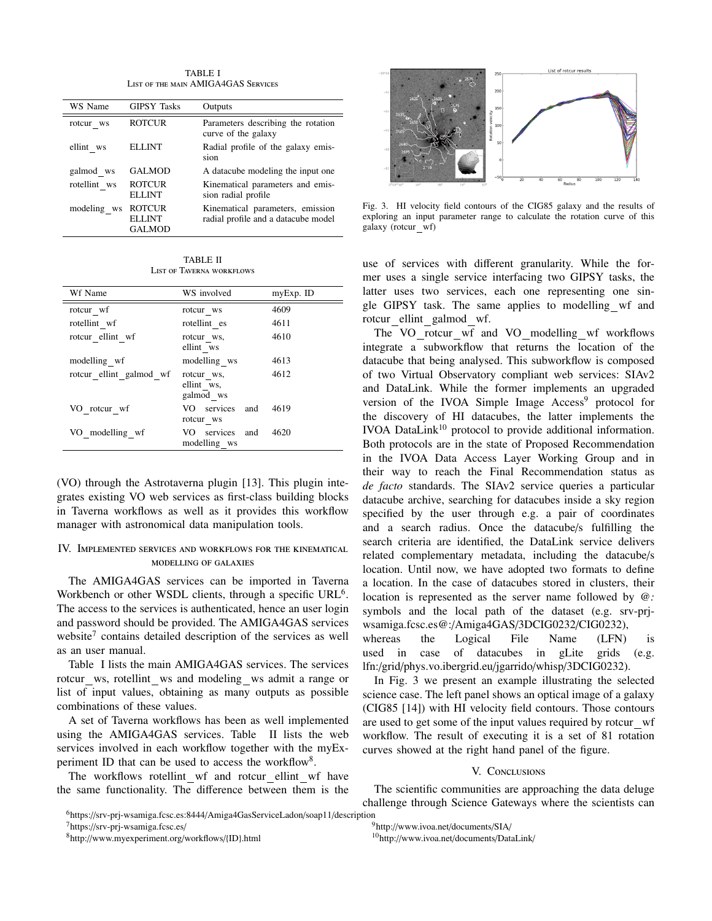TABLE I List of the main AMIGA4GAS Services

| WS Name      | <b>GIPSY Tasks</b>                              | Outputs                                                                 |
|--------------|-------------------------------------------------|-------------------------------------------------------------------------|
| rotcur ws    | <b>ROTCUR</b>                                   | Parameters describing the rotation<br>curve of the galaxy               |
| ellint ws    | ELLINT                                          | Radial profile of the galaxy emis-<br>sion                              |
| galmod ws    | <b>GALMOD</b>                                   | A datacube modeling the input one                                       |
| rotellint ws | <b>ROTCUR</b><br><b>ELLINT</b>                  | Kinematical parameters and emis-<br>sion radial profile                 |
| modeling ws  | <b>ROTCUR</b><br><b>ELLINT</b><br><b>GALMOD</b> | Kinematical parameters, emission<br>radial profile and a datacube model |

TABLE II List of Taverna workflows

| Wf Name                 | WS involved                           | myExp. ID |
|-------------------------|---------------------------------------|-----------|
| rotcur wf               | rotcur ws                             | 4609      |
| rotellint wf            | rotellint es                          | 4611      |
| rotcur ellint wf        | rotcur ws.<br>ellint ws               | 4610      |
| modelling wf            | modelling ws                          | 4613      |
| rotcur ellint galmod wf | rotcur ws,<br>ellint ws.<br>galmod ws | 4612      |
| VO rotcur wf            | VO services and<br>rotcur ws          | 4619      |
| VO modelling wf         | VO services<br>and<br>modelling ws    | 4620      |

(VO) through the Astrotaverna plugin [13]. This plugin integrates existing VO web services as first-class building blocks in Taverna workflows as well as it provides this workflow manager with astronomical data manipulation tools.

## IV. Implemented services and workflows for the kinematical modelling of galaxies

The AMIGA4GAS services can be imported in Taverna Workbench or other WSDL clients, through a specific URL<sup>6</sup>. The access to the services is authenticated, hence an user login and password should be provided. The AMIGA4GAS services website<sup>7</sup> contains detailed description of the services as well as an user manual.

Table I lists the main AMIGA4GAS services. The services rotcur ws, rotellint ws and modeling ws admit a range or list of input values, obtaining as many outputs as possible combinations of these values.

A set of Taverna workflows has been as well implemented using the AMIGA4GAS services. Table II lists the web services involved in each workflow together with the myExperiment ID that can be used to access the workflow<sup>8</sup>.

The workflows rotellint wf and rotcur ellint wf have the same functionality. The difference between them is the



Fig. 3. HI velocity field contours of the CIG85 galaxy and the results of exploring an input parameter range to calculate the rotation curve of this galaxy (rotcur wf)

use of services with different granularity. While the former uses a single service interfacing two GIPSY tasks, the latter uses two services, each one representing one single GIPSY task. The same applies to modelling wf and rotcur ellint galmod wf.

The VO rotcur wf and VO modelling wf workflows integrate a subworkflow that returns the location of the datacube that being analysed. This subworkflow is composed of two Virtual Observatory compliant web services: SIAv2 and DataLink. While the former implements an upgraded version of the IVOA Simple Image Access<sup>9</sup> protocol for the discovery of HI datacubes, the latter implements the IVOA DataLink<sup>10</sup> protocol to provide additional information. Both protocols are in the state of Proposed Recommendation in the IVOA Data Access Layer Working Group and in their way to reach the Final Recommendation status as *de facto* standards. The SIAv2 service queries a particular datacube archive, searching for datacubes inside a sky region specified by the user through e.g. a pair of coordinates and a search radius. Once the datacube/s fulfilling the search criteria are identified, the DataLink service delivers related complementary metadata, including the datacube/s location. Until now, we have adopted two formats to define a location. In the case of datacubes stored in clusters, their location is represented as the server name followed by *@:* symbols and the local path of the dataset (e.g. srv-prjwsamiga.fcsc.es@:/Amiga4GAS/3DCIG0232/CIG0232), whereas the Logical File Name (LFN) is

used in case of datacubes in gLite grids (e.g. lfn:/grid/phys.vo.ibergrid.eu/jgarrido/whisp/3DCIG0232).

In Fig. 3 we present an example illustrating the selected science case. The left panel shows an optical image of a galaxy (CIG85 [14]) with HI velocity field contours. Those contours are used to get some of the input values required by rotcur wf workflow. The result of executing it is a set of 81 rotation curves showed at the right hand panel of the figure.

## V. Conclusions

The scientific communities are approaching the data deluge challenge through Science Gateways where the scientists can

<sup>7</sup>https://srv-prj-wsamiga.fcsc.es/

<sup>9</sup>http://www.ivoa.net/documents/SIA/

<sup>6</sup>https://srv-prj-wsamiga.fcsc.es:8444/Amiga4GasServiceLadon/soap11/description

<sup>8</sup>http://www.myexperiment.org/workflows/{ID}.html

<sup>10</sup>http://www.ivoa.net/documents/DataLink/